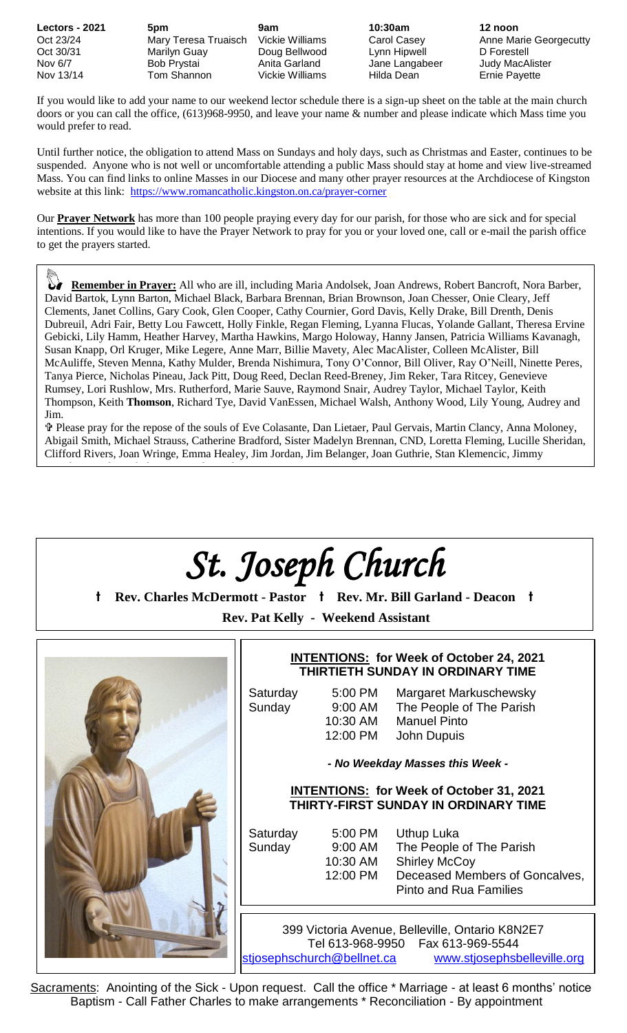If you would like to add your name to our weekend lector schedule there is a sign-up sheet on the table at the main church doors or you can call the office, (613)968-9950, and leave your name & number and please indicate which Mass time you would prefer to read.

Until further notice, the obligation to attend Mass on Sundays and holy days, such as Christmas and Easter, continues to be suspended. Anyone who is not well or uncomfortable attending a public Mass should stay at home and view live-streamed Mass. You can find links to online Masses in our Diocese and many other prayer resources at the Archdiocese of Kingston website at this link: <https://www.romancatholic.kingston.on.ca/prayer-corner>

Our **Prayer Network** has more than 100 people praying every day for our parish, for those who are sick and for special intentions. If you would like to have the Prayer Network to pray for you or your loved one, call or e-mail the parish office to get the prayers started.

 **Remember in Prayer:** All who are ill, including Maria Andolsek, Joan Andrews, Robert Bancroft, Nora Barber, David Bartok, Lynn Barton, Michael Black, Barbara Brennan, Brian Brownson, Joan Chesser, Onie Cleary, Jeff Clements, Janet Collins, Gary Cook, Glen Cooper, Cathy Cournier, Gord Davis, Kelly Drake, Bill Drenth, Denis Dubreuil, Adri Fair, Betty Lou Fawcett, Holly Finkle, Regan Fleming, Lyanna Flucas, Yolande Gallant, Theresa Ervine Gebicki, Lily Hamm, Heather Harvey, Martha Hawkins, Margo Holoway, Hanny Jansen, Patricia Williams Kavanagh, Susan Knapp, Orl Kruger, Mike Legere, Anne Marr, Billie Mavety, Alec MacAlister, Colleen McAlister, Bill McAuliffe, Steven Menna, Kathy Mulder, Brenda Nishimura, Tony O'Connor, Bill Oliver, Ray O'Neill, Ninette Peres, Tanya Pierce, Nicholas Pineau, Jack Pitt, Doug Reed, Declan Reed-Breney, Jim Reker, Tara Ritcey, Genevieve Rumsey, Lori Rushlow, Mrs. Rutherford, Marie Sauve, Raymond Snair, Audrey Taylor, Michael Taylor, Keith Thompson, Keith **Thomson**, Richard Tye, David VanEssen, Michael Walsh, Anthony Wood, Lily Young, Audrey and Jim.

 Please pray for the repose of the souls of Eve Colasante, Dan Lietaer, Paul Gervais, Martin Clancy, Anna Moloney, Abigail Smith, Michael Strauss, Catherine Bradford, Sister Madelyn Brennan, CND, Loretta Fleming, Lucille Sheridan, Clifford Rivers, Joan Wringe, Emma Healey, Jim Jordan, Jim Belanger, Joan Guthrie, Stan Klemencic, Jimmy Koughan, Karla Nichols, Mary Parlee and Joanne Rawson.

# *St. Joseph Church*

**t Rev. Charles McDermott - Pastor t Rev. Mr. Bill Garland - Deacon t Rev. Pat Kelly - Weekend Assistant**



### **INTENTIONS: for Week of October 24, 2021 THIRTIETH SUNDAY IN ORDINARY TIME**

Saturday 5:00 PM Margaret Markuschewsky Sunday 9:00 AM The People of The Parish 10:30 AM Manuel Pinto 12:00 PM John Dupuis

*- No Weekday Masses this Week -*

#### **INTENTIONS: for Week of October 31, 2021 THIRTY-FIRST SUNDAY IN ORDINARY TIME**

- 
- Saturday 5:00 PM Uthup Luka Sunday 9:00 AM The People of The Parish 10:30 AM Shirley McCoy 12:00 PM Deceased Members of Goncalves, Pinto and Rua Families

399 Victoria Avenue, Belleville, Ontario K8N2E7 Tel 613-968-9950 Fax 613-969-5544 [stjosephschurch@bellnet.ca](mailto:stjosephschurch@bellnet.ca) [www.stjosephsbelleville.org](http://www.stjosephsbelleville.org/)

Sacraments: Anointing of the Sick - Upon request. Call the office \* Marriage - at least 6 months' notice Baptism - Call Father Charles to make arrangements \* Reconciliation - By appointment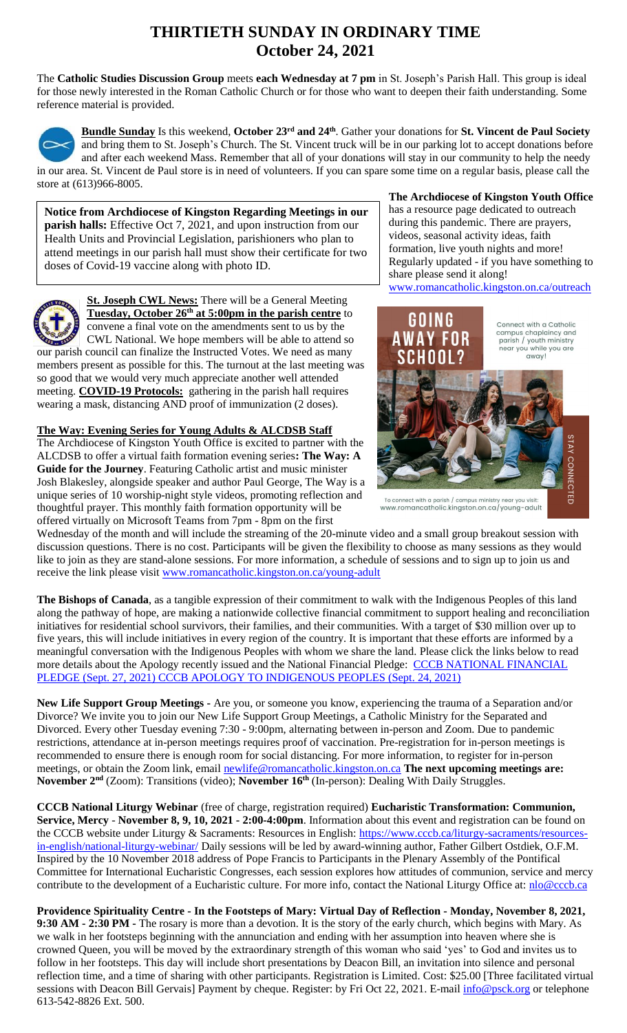## **THIRTIETH SUNDAY IN ORDINARY TIME October 24, 2021**

The **Catholic Studies Discussion Group** meets **each Wednesday at 7 pm** in St. Joseph's Parish Hall. This group is ideal for those newly interested in the Roman Catholic Church or for those who want to deepen their faith understanding. Some reference material is provided.



**Bundle Sunday** Is this weekend, **October 23rd and 24th**. Gather your donations for **St. Vincent de Paul Society** and bring them to St. Joseph's Church. The St. Vincent truck will be in our parking lot to accept donations before and after each weekend Mass. Remember that all of your donations will stay in our community to help the needy in our area. St. Vincent de Paul store is in need of volunteers. If you can spare some time on a regular basis, please call the store at (613)966-8005.

**Notice from Archdiocese of Kingston Regarding Meetings in our parish halls:** Effective Oct 7, 2021, and upon instruction from our Health Units and Provincial Legislation, parishioners who plan to attend meetings in our parish hall must show their certificate for two doses of Covid-19 vaccine along with photo ID.



**St. Joseph CWL News:** There will be a General Meeting **Tuesday, October 26th at 5:00pm in the parish centre** to convene a final vote on the amendments sent to us by the

CWL National. We hope members will be able to attend so our parish council can finalize the Instructed Votes. We need as many members present as possible for this. The turnout at the last meeting was so good that we would very much appreciate another well attended meeting. **COVID-19 Protocols:** gathering in the parish hall requires wearing a mask, distancing AND proof of immunization (2 doses).

**The Way: Evening Series for Young Adults & ALCDSB Staff** The Archdiocese of Kingston Youth Office is excited to partner with the ALCDSB to offer a virtual faith formation evening series**: The Way: A Guide for the Journey**. Featuring Catholic artist and music minister Josh Blakesley, alongside speaker and author Paul George, The Way is a unique series of 10 worship-night style videos, promoting reflection and thoughtful prayer. This monthly faith formation opportunity will be offered virtually on Microsoft Teams from 7pm - 8pm on the first

**The Archdiocese of Kingston Youth Office** has a resource page dedicated to outreach during this pandemic. There are prayers, videos, seasonal activity ideas, faith formation, live youth nights and more! Regularly updated - if you have something to share please send it along! [www.romancatholic.kingston.on.ca/outreach](http://www.romancatholic.kingston.on.ca/outreach)



To connect with a parish / campus ministry www.romancatholic.kingston.on.ca/young-adult

Wednesday of the month and will include the streaming of the 20-minute video and a small group breakout session with discussion questions. There is no cost. Participants will be given the flexibility to choose as many sessions as they would like to join as they are stand-alone sessions. For more information, a schedule of sessions and to sign up to join us and receive the link please visit [www.romancatholic.kingston.on.ca/young-adult](http://www.romancatholic.kingston.on.ca/young-adult)

**The Bishops of Canada**, as a tangible expression of their commitment to walk with the Indigenous Peoples of this land along the pathway of hope, are making a nationwide collective financial commitment to support healing and reconciliation initiatives for residential school survivors, their families, and their communities. With a target of \$30 million over up to five years, this will include initiatives in every region of the country. It is important that these efforts are informed by a meaningful conversation with the Indigenous Peoples with whom we share the land. Please click the links below to read more details about the Apology recently issued and the National Financial Pledge: CCCB NATIONAL FINANCIAL [PLEDGE \(Sept. 27, 2021\)](https://www.peterboroughdiocese.org/en/resourcesGeneral/Homepage-banners/Residential-School/CCCB/CCCB-News-Release_27-September-2021_EN_FINAL.pdf) [CCCB APOLOGY TO INDIGENOUS PEOPLES \(Sept. 24, 2021\)](https://www.peterboroughdiocese.org/en/resourcesGeneral/Homepage-banners/Residential-School/CCCB/Statement_from_CBC_to_Indigenous-EN.pdf)

**New Life Support Group Meetings -** Are you, or someone you know, experiencing the trauma of a Separation and/or Divorce? We invite you to join our New Life Support Group Meetings, a Catholic Ministry for the Separated and Divorced. Every other Tuesday evening 7:30 - 9:00pm, alternating between in-person and Zoom. Due to pandemic restrictions, attendance at in-person meetings requires proof of vaccination. Pre-registration for in-person meetings is recommended to ensure there is enough room for social distancing. For more information, to register for in-person meetings, or obtain the Zoom link, email [newlife@romancatholic.kingston.on.ca](mailto:newlife@romancatholic.kingston.on.ca) **The next upcoming meetings are: November 2nd** (Zoom): Transitions (video); **November 16th** (In-person): Dealing With Daily Struggles.

**CCCB National Liturgy Webinar** (free of charge, registration required) **Eucharistic Transformation: Communion, Service, Mercy** - **November 8, 9, 10, 2021 - 2:00-4:00pm**. Information about this event and registration can be found on the CCCB website under Liturgy & Sacraments: Resources in English: [https://www.cccb.ca/liturgy-sacraments/resources](https://www.cccb.ca/liturgy-sacraments/resources-in-english/national-liturgy-webinar/)[in-english/national-liturgy-webinar/](https://www.cccb.ca/liturgy-sacraments/resources-in-english/national-liturgy-webinar/) Daily sessions will be led by award-winning author, Father Gilbert Ostdiek, O.F.M. Inspired by the 10 November 2018 address of Pope Francis to Participants in the Plenary Assembly of the Pontifical Committee for International Eucharistic Congresses, each session explores how attitudes of communion, service and mercy contribute to the development of a Eucharistic culture. For more info, contact the National Liturgy Office at: [nlo@cccb.ca](mailto:nlo@cccb.ca)

**Providence Spirituality Centre - In the Footsteps of Mary: Virtual Day of Reflection - Monday, November 8, 2021, 9:30 AM - 2:30 PM -** The rosary is more than a devotion. It is the story of the early church, which begins with Mary. As we walk in her footsteps beginning with the annunciation and ending with her assumption into heaven where she is crowned Queen, you will be moved by the extraordinary strength of this woman who said 'yes' to God and invites us to follow in her footsteps. This day will include short presentations by Deacon Bill, an invitation into silence and personal reflection time, and a time of sharing with other participants. Registration is Limited. Cost: \$25.00 [Three facilitated virtual sessions with Deacon Bill Gervais] Payment by cheque. Register: by Fri Oct 22, 2021. E-mail  $\frac{info@psck.org}{info@psck.org}$  or telephone 613-542-8826 Ext. 500.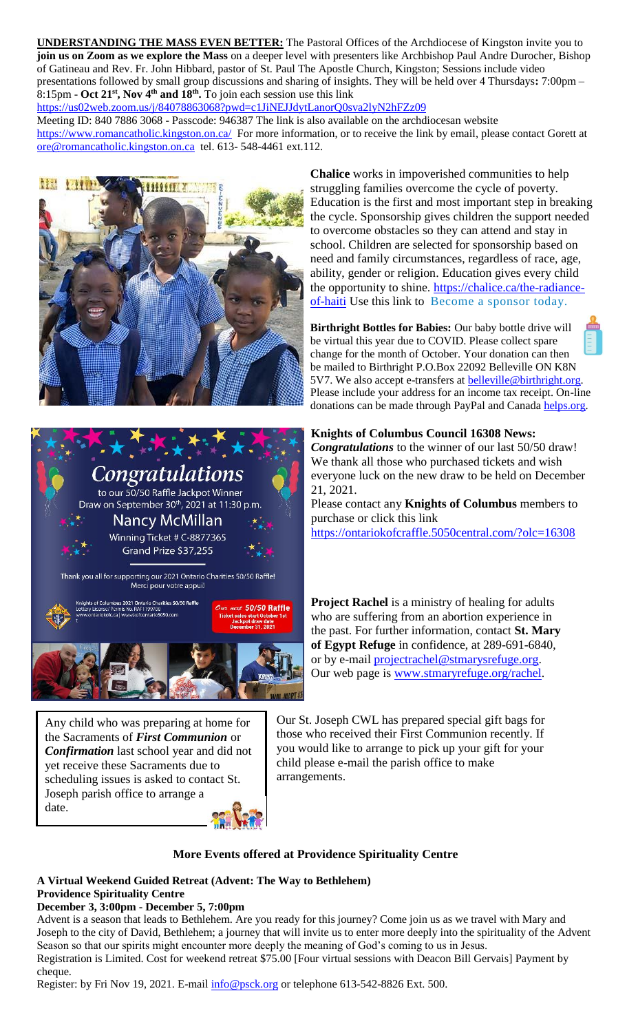**UNDERSTANDING THE MASS EVEN BETTER:** The Pastoral Offices of the Archdiocese of Kingston invite you to **join us on Zoom as we explore the Mass** on a deeper level with presenters like Archbishop Paul Andre Durocher, Bishop of Gatineau and Rev. Fr. John Hibbard, pastor of St. Paul The Apostle Church, Kingston; Sessions include video presentations followed by small group discussions and sharing of insights. They will be held over 4 Thursdays**:** 7:00pm – 8:15pm - **Oct 21st, Nov 4th and 18th .** To join each session use this link

<https://us02web.zoom.us/j/84078863068?pwd=c1JiNEJJdytLanorQ0sva2lyN2hFZz09>

Meeting ID: 840 7886 3068 - Passcode: 946387 The link is also available on the archdiocesan website <https://www.romancatholic.kingston.on.ca/>For more information, or to receive the link by email, please contact Gorett at [ore@romancatholic.kingston.on.ca](mailto:ore@romancatholic.kingston.on.ca) tel. 613- 548-4461 ext.112.





Any child who was preparing at home for the Sacraments of *First Communion* or *Confirmation* last school year and did not yet receive these Sacraments due to scheduling issues is asked to contact St. Joseph parish office to arrange a date.

**Chalice** works in impoverished communities to help struggling families overcome the cycle of poverty. Education is the first and most important step in breaking the cycle. Sponsorship gives children the support needed to overcome obstacles so they can attend and stay in school. Children are selected for sponsorship based on need and family circumstances, regardless of race, age, ability, gender or religion. Education gives every child the opportunity to shine. [https://chalice.ca/the-radiance](https://chalice.ca/the-radiance-of-haiti)[of-haiti](https://chalice.ca/the-radiance-of-haiti) Use this link to [Become a sponsor today.](https://www.chalice.ca/sponsor-a-child-now?search=profile_list&task=search)

**Birthright Bottles for Babies:** Our baby bottle drive will be virtual this year due to COVID. Please collect spare change for the month of October. Your donation can then be mailed to Birthright P.O.Box 22092 Belleville ON K8N 5V7. We also accept e-transfers at **belleville@birthright.org**. Please include your address for an income tax receipt. On-line donations can be made through PayPal and Canada [helps.org.](http://helps.org/)

#### **Knights of Columbus Council 16308 News:**

*Congratulations* to the winner of our last 50/50 draw! We thank all those who purchased tickets and wish everyone luck on the new draw to be held on December 21, 2021.

Please contact any **Knights of Columbus** members to purchase or click this link <https://ontariokofcraffle.5050central.com/?olc=16308>

**Project Rachel** is a ministry of healing for adults who are suffering from an abortion experience in the past. For further information, contact **St. Mary of Egypt Refuge** in confidence, at 289-691-6840, or by e-mail **projectrachel@stmarysrefuge.org**. Our web page is [www.stmaryrefuge.org/rachel.](http://www.stmaryrefuge.org/rachel)

Our St. Joseph CWL has prepared special gift bags for those who received their First Communion recently. If you would like to arrange to pick up your gift for your child please e-mail the parish office to make arrangements.

#### **More Events offered at Providence Spirituality Centre**

#### **A Virtual Weekend Guided Retreat (Advent: The Way to Bethlehem) Providence Spirituality Centre**

#### **December 3, 3:00pm - December 5, 7:00pm**

Advent is a season that leads to Bethlehem. Are you ready for this journey? Come join us as we travel with Mary and Joseph to the city of David, Bethlehem; a journey that will invite us to enter more deeply into the spirituality of the Advent Season so that our spirits might encounter more deeply the meaning of God's coming to us in Jesus. Registration is Limited. Cost for weekend retreat \$75.00 [Four virtual sessions with Deacon Bill Gervais] Payment by cheque.

Register: by Fri Nov 19, 2021. E-mail [info@psck.org](mailto:info@psck.org) or telephone 613-542-8826 Ext. 500.